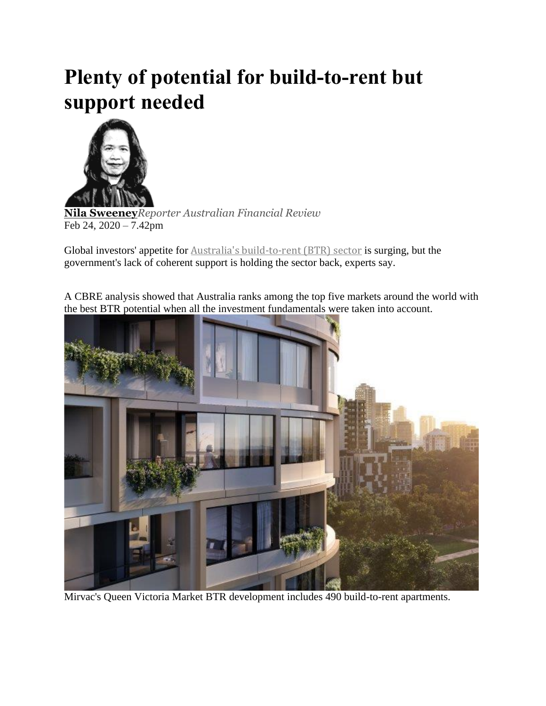## **Plenty of potential for build-to-rent but support needed**



**Nila [Sweeney](https://www.afr.com/by/nila-sweeney-h1g80q)***Reporter Australian Financial Review* Feb 24, 2020 – 7.42pm

Global investors' appetite for Australia's [build-to-rent](https://www.afr.com/property/residential/growing-pool-of-renters-to-drive-btr-development-20190618-p51ytl) (BTR) sector is surging, but the government's lack of coherent support is holding the sector back, experts say.

A CBRE analysis showed that Australia ranks among the top five markets around the world with the best BTR potential when all the investment fundamentals were taken into account.



Mirvac's Queen Victoria Market BTR development includes 490 build-to-rent apartments.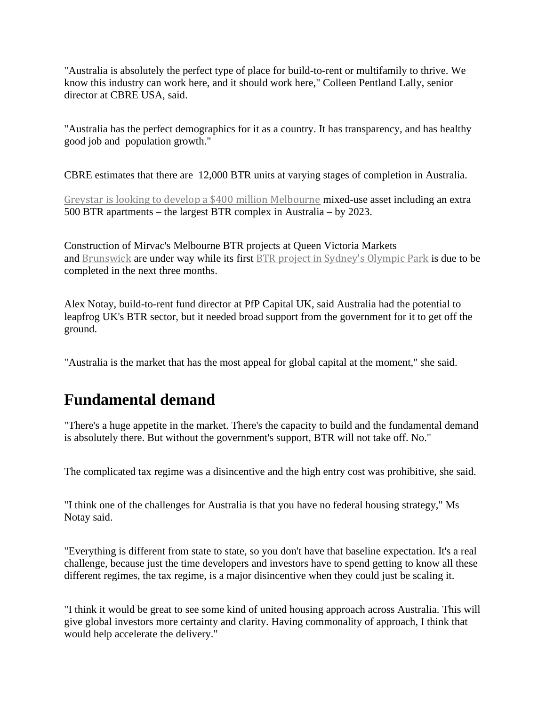"Australia is absolutely the perfect type of place for build-to-rent or multifamily to thrive. We know this industry can work here, and it should work here," Colleen Pentland Lally, senior director at CBRE USA, said.

"Australia has the perfect demographics for it as a country. It has transparency, and has healthy good job and population growth."

CBRE estimates that there are 12,000 BTR units at varying stages of completion in Australia.

Greystar is looking to develop a \$400 million [Melbourne](https://www.afr.com/property/commercial/mega-build-to-rent-project-headed-for-south-yarra-20200205-p53xxy) mixed-use asset including an extra 500 BTR apartments – the largest BTR complex in Australia – by 2023.

Construction of Mirvac's Melbourne BTR projects at Queen Victoria Markets and [Brunswick](https://www.afr.com/property/residential/mirvac-snaps-up-inner-melbourne-super-site-for-build-to-rent-20191210-p53ila) are under way while its first BTR project in [Sydney's](https://www.afr.com/property/residential/sentiment-turns-in-favour-of-build-to-rent-20200219-p542d1) Olympic Park is due to be completed in the next three months.

Alex Notay, build-to-rent fund director at PfP Capital UK, said Australia had the potential to leapfrog UK's BTR sector, but it needed broad support from the government for it to get off the ground.

"Australia is the market that has the most appeal for global capital at the moment," she said.

## **Fundamental demand**

"There's a huge appetite in the market. There's the capacity to build and the fundamental demand is absolutely there. But without the government's support, BTR will not take off. No."

The complicated tax regime was a disincentive and the high entry cost was prohibitive, she said.

"I think one of the challenges for Australia is that you have no federal housing strategy," Ms Notay said.

"Everything is different from state to state, so you don't have that baseline expectation. It's a real challenge, because just the time developers and investors have to spend getting to know all these different regimes, the tax regime, is a major disincentive when they could just be scaling it.

"I think it would be great to see some kind of united housing approach across Australia. This will give global investors more certainty and clarity. Having commonality of approach, I think that would help accelerate the delivery."